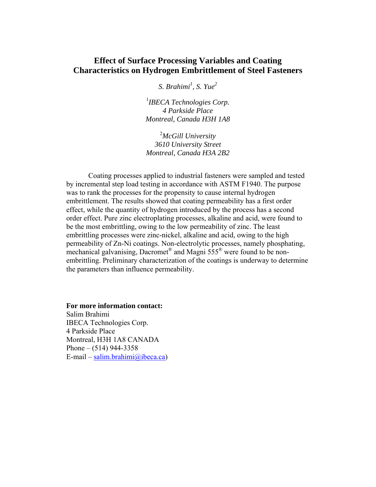# **Effect of Surface Processing Variables and Coating Characteristics on Hydrogen Embrittlement of Steel Fasteners**

*S. Brahimi<sup>1</sup> , S. Yue<sup>2</sup>*

1 *IBECA Technologies Corp. 4 Parkside Place Montreal, Canada H3H 1A8* 

2 *McGill University 3610 University Street Montreal, Canada H3A 2B2*

Coating processes applied to industrial fasteners were sampled and tested by incremental step load testing in accordance with ASTM F1940. The purpose was to rank the processes for the propensity to cause internal hydrogen embrittlement. The results showed that coating permeability has a first order effect, while the quantity of hydrogen introduced by the process has a second order effect. Pure zinc electroplating processes, alkaline and acid, were found to be the most embrittling, owing to the low permeability of zinc. The least embrittling processes were zinc-nickel, alkaline and acid, owing to the high permeability of Zn-Ni coatings. Non-electrolytic processes, namely phosphating, mechanical galvanising, Dacromet<sup>®</sup> and Magni  $555^\circ$  were found to be nonembrittling. Preliminary characterization of the coatings is underway to determine the parameters than influence permeability.

### **For more information contact:**

Salim Brahimi IBECA Technologies Corp. 4 Parkside Place Montreal, H3H 1A8 CANADA Phone –  $(514)$  944-3358 E-mail – salim.brahimi@ibeca.ca)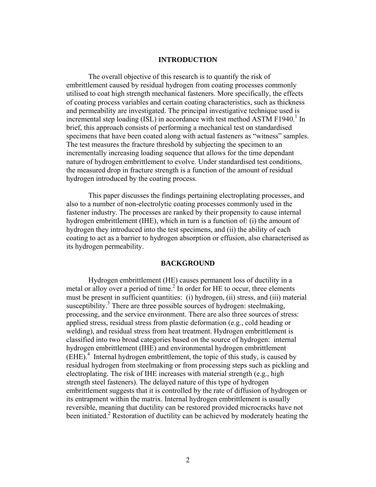### **INTRODUCTION**

The overall objective of this research is to quantify the risk of embrittlement caused by residual hydrogen from coating processes commonly utilised to coat high strength mechanical fasteners. More specifically, the effects of coating process variables and certain coating characteristics, such as thickness and permeability are investigated. The principal investigative technique used is incremental step loading (ISL) in accordance with test method ASTM F1940.<sup>1</sup> In brief, this approach consists of performing a mechanical test on standardised specimens that have been coated along with actual fasteners as "witness" samples. The test measures the fracture threshold by subjecting the specimen to an incrementally increasing loading sequence that allows for the time dependant nature of hydrogen embrittlement to evolve. Under standardised test conditions, the measured drop in fracture strength is a function of the amount of residual hydrogen introduced by the coating process.

This paper discusses the findings pertaining electroplating processes, and also to a number of non-electrolytic coating processes commonly used in the fastener industry. The processes are ranked by their propensity to cause internal hydrogen embrittlement (IHE), which in turn is a function of: (i) the amount of hydrogen they introduced into the test specimens, and (ii) the ability of each coating to act as a barrier to hydrogen absorption or effusion, also characterised as its hydrogen permeability.

# **BACKGROUND**

Hydrogen embrittlement (HE) causes permanent loss of ductility in a metal or alloy over a period of time.<sup>2</sup> In order for HE to occur, three elements must be present in sufficient quantities: (i) hydrogen, (ii) stress, and (iii) material susceptibility.<sup>3</sup> There are three possible sources of hydrogen: steelmaking, processing, and the service environment. There are also three sources of stress: applied stress, residual stress from plastic deformation (e.g., cold heading or welding), and residual stress from heat treatment. Hydrogen embrittlement is classified into two broad categories based on the source of hydrogen: internal hydrogen embrittlement (IHE) and environmental hydrogen embrittlement (EHE).4 Internal hydrogen embrittlement, the topic of this study, is caused by residual hydrogen from steelmaking or from processing steps such as pickling and electroplating. The risk of IHE increases with material strength (e.g., high strength steel fasteners). The delayed nature of this type of hydrogen embrittlement suggests that it is controlled by the rate of diffusion of hydrogen or its entrapment within the matrix. Internal hydrogen embrittlement is usually reversible, meaning that ductility can be restored provided microcracks have not been initiated.<sup>2</sup> Restoration of ductility can be achieved by moderately heating the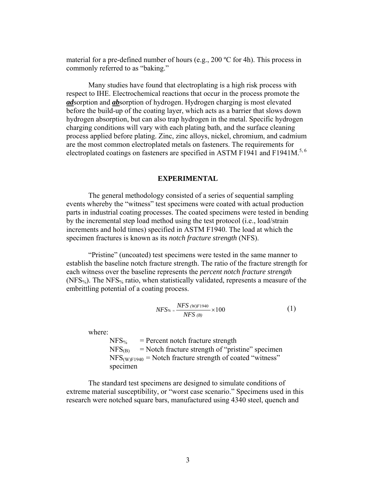material for a pre-defined number of hours (e.g., 200 ºC for 4h). This process in commonly referred to as "baking."

Many studies have found that electroplating is a high risk process with respect to IHE. Electrochemical reactions that occur in the process promote the *ad*sorption and *ab*sorption of hydrogen. Hydrogen charging is most elevated before the build-up of the coating layer, which acts as a barrier that slows down hydrogen absorption, but can also trap hydrogen in the metal. Specific hydrogen charging conditions will vary with each plating bath, and the surface cleaning process applied before plating. Zinc, zinc alloys, nickel, chromium, and cadmium are the most common electroplated metals on fasteners. The requirements for electroplated coatings on fasteners are specified in ASTM F1941 and F1941M.<sup>5, 6</sup>

### **EXPERIMENTAL**

The general methodology consisted of a series of sequential sampling events whereby the "witness" test specimens were coated with actual production parts in industrial coating processes. The coated specimens were tested in bending by the incremental step load method using the test protocol (i.e., load/strain increments and hold times) specified in ASTM F1940. The load at which the specimen fractures is known as its *notch fracture strength* (NFS).

"Pristine" (uncoated) test specimens were tested in the same manner to establish the baseline notch fracture strength. The ratio of the fracture strength for each witness over the baseline represents the *percent notch fracture strength* (NFS%). The NFS% ratio, when statistically validated, represents a measure of the embrittling potential of a coating process.

$$
NFS_{\%} = \frac{NFS \ (W)F1940}{NFS \ (B)} \times 100 \tag{1}
$$

where:

 $NFS_{\%}$  = Percent notch fracture strength  $NFS<sub>(B)</sub>$  = Notch fracture strength of "pristine" specimen  $NFS<sub>(W)F1940</sub> = Notch fracture strength of coated "witness"$ specimen

The standard test specimens are designed to simulate conditions of extreme material susceptibility, or "worst case scenario." Specimens used in this research were notched square bars, manufactured using 4340 steel, quench and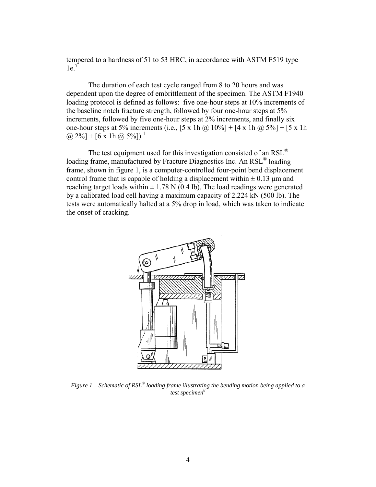tempered to a hardness of 51 to 53 HRC, in accordance with ASTM F519 type  $1e<sup>7</sup>$ 

The duration of each test cycle ranged from 8 to 20 hours and was dependent upon the degree of embrittlement of the specimen. The ASTM F1940 loading protocol is defined as follows: five one-hour steps at 10% increments of the baseline notch fracture strength, followed by four one-hour steps at 5% increments, followed by five one-hour steps at 2% increments, and finally six one-hour steps at 5% increments (i.e.,  $[5 \times 1h \omega/ 10\%] + [4 \times 1h \omega/ 5\%] + [5 \times 1h$  $(a) 2\%$ ] + [6 x 1h  $(a) 5\%$ ]).<sup>1</sup>

The test equipment used for this investigation consisted of an RSL® loading frame, manufactured by Fracture Diagnostics Inc. An RSL® loading frame, shown in figure 1, is a computer-controlled four-point bend displacement control frame that is capable of holding a displacement within  $\pm$  0.13 µm and reaching target loads within  $\pm$  1.78 N (0.4 lb). The load readings were generated by a calibrated load cell having a maximum capacity of 2.224 kN (500 lb). The tests were automatically halted at a 5% drop in load, which was taken to indicate the onset of cracking.



*Figure 1 – Schematic of RSL® loading frame illustrating the bending motion being applied to a test specimen*<sup>8</sup>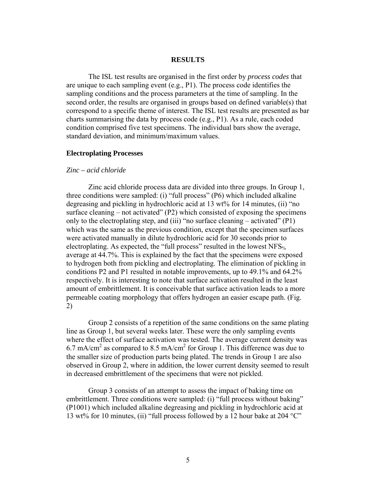### **RESULTS**

The ISL test results are organised in the first order by *process codes* that are unique to each sampling event (e.g., P1). The process code identifies the sampling conditions and the process parameters at the time of sampling. In the second order, the results are organised in groups based on defined variable(s) that correspond to a specific theme of interest. The ISL test results are presented as bar charts summarising the data by process code (e.g., P1). As a rule, each coded condition comprised five test specimens. The individual bars show the average, standard deviation, and minimum/maximum values.

### **Electroplating Processes**

### *Zinc – acid chloride*

Zinc acid chloride process data are divided into three groups. In Group 1, three conditions were sampled: (i) "full process" (P6) which included alkaline degreasing and pickling in hydrochloric acid at 13 wt% for 14 minutes, (ii) "no surface cleaning – not activated" (P2) which consisted of exposing the specimens only to the electroplating step, and (iii) "no surface cleaning – activated" (P1) which was the same as the previous condition, except that the specimen surfaces were activated manually in dilute hydrochloric acid for 30 seconds prior to electroplating. As expected, the "full process" resulted in the lowest NFS<sub>%</sub> average at 44.7%. This is explained by the fact that the specimens were exposed to hydrogen both from pickling and electroplating. The elimination of pickling in conditions P2 and P1 resulted in notable improvements, up to 49.1% and 64.2% respectively. It is interesting to note that surface activation resulted in the least amount of embrittlement. It is conceivable that surface activation leads to a more permeable coating morphology that offers hydrogen an easier escape path. (Fig. 2)

Group 2 consists of a repetition of the same conditions on the same plating line as Group 1, but several weeks later. These were the only sampling events where the effect of surface activation was tested. The average current density was 6.7 mA/cm<sup>2</sup> as compared to 8.5 mA/cm<sup>2</sup> for Group 1. This difference was due to the smaller size of production parts being plated. The trends in Group 1 are also observed in Group 2, where in addition, the lower current density seemed to result in decreased embrittlement of the specimens that were not pickled.

Group 3 consists of an attempt to assess the impact of baking time on embrittlement. Three conditions were sampled: (i) "full process without baking" (P1001) which included alkaline degreasing and pickling in hydrochloric acid at 13 wt% for 10 minutes, (ii) "full process followed by a 12 hour bake at 204  $^{\circ}$ C"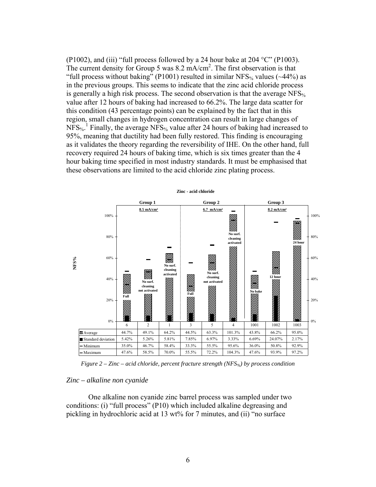(P1002), and (iii) "full process followed by a 24 hour bake at 204  $^{\circ}$ C" (P1003). The current density for Group 5 was 8.2 mA/cm<sup>2</sup>. The first observation is that "full process without baking" (P1001) resulted in similar NFS<sub>%</sub> values ( $\sim$ 44%) as in the previous groups. This seems to indicate that the zinc acid chloride process is generally a high risk process. The second observation is that the average NFS% value after 12 hours of baking had increased to 66.2%. The large data scatter for this condition (43 percentage points) can be explained by the fact that in this region, small changes in hydrogen concentration can result in large changes of  $NFS_{\%}$ <sup>1</sup> Finally, the average NFS<sub>%</sub> value after 24 hours of baking had increased to 95%, meaning that ductility had been fully restored. This finding is encouraging as it validates the theory regarding the reversibility of IHE. On the other hand, full recovery required 24 hours of baking time, which is six times greater than the 4 hour baking time specified in most industry standards. It must be emphasised that these observations are limited to the acid chloride zinc plating process.



*Figure 2 – Zinc – acid chloride, percent fracture strength (NFS%) by process condition* 

### *Zinc – alkaline non cyanide*

One alkaline non cyanide zinc barrel process was sampled under two conditions: (i) "full process" (P10) which included alkaline degreasing and pickling in hydrochloric acid at 13 wt% for 7 minutes, and (ii) "no surface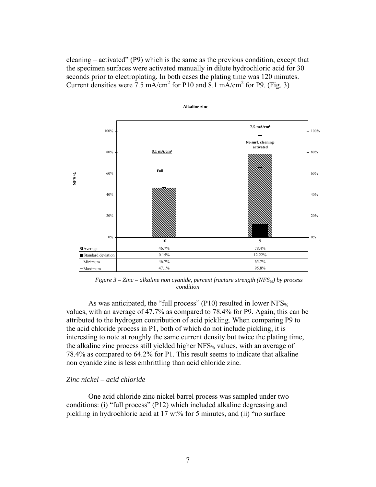cleaning – activated" (P9) which is the same as the previous condition, except that the specimen surfaces were activated manually in dilute hydrochloric acid for 30 seconds prior to electroplating. In both cases the plating time was 120 minutes. Current densities were  $\frac{7.5 \text{ mA/cm}^2}{2}$  for P10 and 8.1 mA/cm<sup>2</sup> for P9. (Fig. 3)



*Figure 3 – Zinc – alkaline non cyanide, percent fracture strength (NFS%) by process condition* 

As was anticipated, the "full process" (P10) resulted in lower  $NFS_{\%}$ values, with an average of 47.7% as compared to 78.4% for P9. Again, this can be attributed to the hydrogen contribution of acid pickling. When comparing P9 to the acid chloride process in P1, both of which do not include pickling, it is interesting to note at roughly the same current density but twice the plating time, the alkaline zinc process still yielded higher NFS<sub>%</sub> values, with an average of 78.4% as compared to 64.2% for P1. This result seems to indicate that alkaline non cyanide zinc is less embrittling than acid chloride zinc.

# *Zinc nickel – acid chloride*

One acid chloride zinc nickel barrel process was sampled under two conditions: (i) "full process" (P12) which included alkaline degreasing and pickling in hydrochloric acid at 17 wt% for 5 minutes, and (ii) "no surface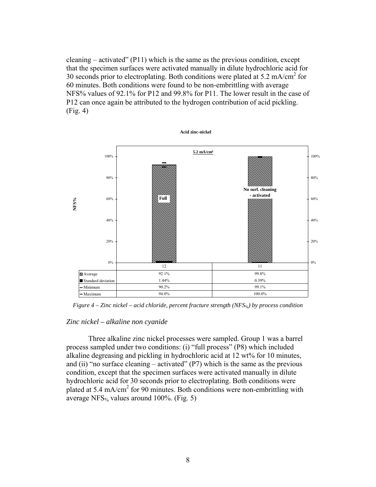cleaning – activated"  $(P11)$  which is the same as the previous condition, except that the specimen surfaces were activated manually in dilute hydrochloric acid for 30 seconds prior to electroplating. Both conditions were plated at 5.2 mA/cm<sup>2</sup> for 60 minutes. Both conditions were found to be non-embrittling with average NFS% values of 92.1% for P12 and 99.8% for P11. The lower result in the case of P12 can once again be attributed to the hydrogen contribution of acid pickling. (Fig. 4)



*Figure 4 – Zinc nickel – acid chloride, percent fracture strength (NFS%) by process condition* 

# *Zinc nickel – alkaline non cyanide*

Three alkaline zinc nickel processes were sampled. Group 1 was a barrel process sampled under two conditions: (i) "full process" (P8) which included alkaline degreasing and pickling in hydrochloric acid at 12 wt% for 10 minutes, and (ii) "no surface cleaning – activated"  $(P7)$  which is the same as the previous condition, except that the specimen surfaces were activated manually in dilute hydrochloric acid for 30 seconds prior to electroplating. Both conditions were plated at 5.4 mA/cm<sup>2</sup> for 90 minutes. Both conditions were non-embrittling with average NFS $\frac{6}{9}$  values around 100%. (Fig. 5)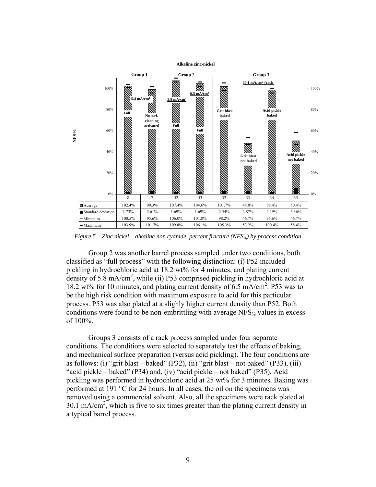



*Figure 5 – Zinc nickel – alkaline non cyanide, percent fracture (NFS%) by process condition* 

Group 2 was another barrel process sampled under two conditions, both classified as "full process" with the following distinction: (i) P52 included pickling in hydrochloric acid at 18.2 wt% for 4 minutes, and plating current density of 5.8 mA/cm<sup>2</sup>, while (ii) P53 comprised pickling in hydrochloric acid at 18.2 wt% for 10 minutes, and plating current density of 6.5 mA/cm2 . P53 was to be the high risk condition with maximum exposure to acid for this particular process. P53 was also plated at a slighly higher current density than P52. Both conditions were found to be non-embrittling with average NFS $_{\%}$  values in excess of 100%.

Groups 3 consists of a rack process sampled under four separate conditions. The conditions were selected to separately test the effects of baking, and mechanical surface preparation (versus acid pickling). The four conditions are as follows: (i) "grit blast – baked" (P32), (ii) "grit blast – not baked" (P33), (iii) "acid pickle – baked" (P34) and, (iv) "acid pickle – not baked" (P35). Acid pickling was performed in hydrochloric acid at 25 wt% for 3 minutes. Baking was performed at 191 °C for 24 hours. In all cases, the oil on the specimens was removed using a commercial solvent. Also, all the specimens were rack plated at 30.1 mA/cm<sup>2</sup>, which is five to six times greater than the plating current density in a typical barrel process.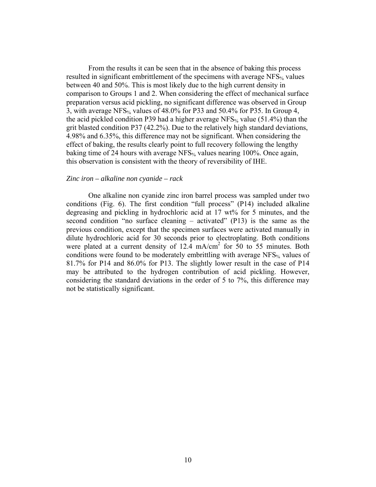From the results it can be seen that in the absence of baking this process resulted in significant embrittlement of the specimens with average  $NFS_{\%}$  values between 40 and 50%. This is most likely due to the high current density in comparison to Groups 1 and 2. When considering the effect of mechanical surface preparation versus acid pickling, no significant difference was observed in Group 3, with average NFS<sub>%</sub> values of  $48.0\%$  for P33 and  $50.4\%$  for P35. In Group 4, the acid pickled condition P39 had a higher average NFS<sub>%</sub> value (51.4%) than the grit blasted condition P37 (42.2%). Due to the relatively high standard deviations, 4.98% and 6.35%, this difference may not be significant. When considering the effect of baking, the results clearly point to full recovery following the lengthy baking time of 24 hours with average NFS<sub>%</sub> values nearing 100%. Once again, this observation is consistent with the theory of reversibility of IHE.

### *Zinc iron – alkaline non cyanide – rack*

One alkaline non cyanide zinc iron barrel process was sampled under two conditions (Fig. 6). The first condition "full process" (P14) included alkaline degreasing and pickling in hydrochloric acid at 17 wt% for 5 minutes, and the second condition "no surface cleaning – activated" (P13) is the same as the previous condition, except that the specimen surfaces were activated manually in dilute hydrochloric acid for 30 seconds prior to electroplating. Both conditions were plated at a current density of  $12.4 \text{ mA/cm}^2$  for 50 to 55 minutes. Both conditions were found to be moderately embrittling with average NFS<sub>%</sub> values of 81.7% for P14 and 86.0% for P13. The slightly lower result in the case of P14 may be attributed to the hydrogen contribution of acid pickling. However, considering the standard deviations in the order of 5 to 7%, this difference may not be statistically significant.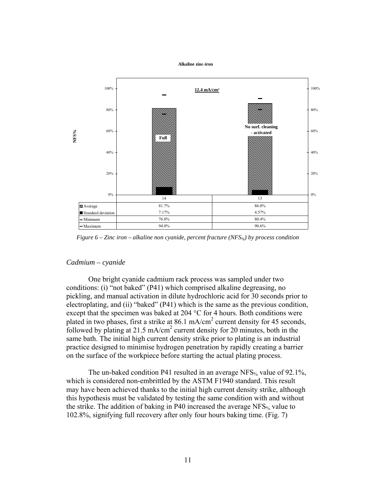#### **Alkaline zinc-iron**



*Figure 6 – Zinc iron – alkaline non cyanide, percent fracture (NFS%) by process condition* 

### *Cadmium – cyanide*

One bright cyanide cadmium rack process was sampled under two conditions: (i) "not baked" (P41) which comprised alkaline degreasing, no pickling, and manual activation in dilute hydrochloric acid for 30 seconds prior to electroplating, and (ii) "baked" (P41) which is the same as the previous condition, except that the specimen was baked at 204 °C for 4 hours. Both conditions were plated in two phases, first a strike at  $86.1 \text{ mA/cm}^2$  current density for 45 seconds, followed by plating at 21.5 mA/cm<sup>2</sup> current density for 20 minutes, both in the same bath. The initial high current density strike prior to plating is an industrial practice designed to minimise hydrogen penetration by rapidly creating a barrier on the surface of the workpiece before starting the actual plating process.

The un-baked condition P41 resulted in an average NFS<sub>%</sub> value of 92.1%, which is considered non-embrittled by the ASTM F1940 standard. This result may have been achieved thanks to the initial high current density strike, although this hypothesis must be validated by testing the same condition with and without the strike. The addition of baking in P40 increased the average  $NFS_{\%}$  value to 102.8%, signifying full recovery after only four hours baking time. (Fig. 7)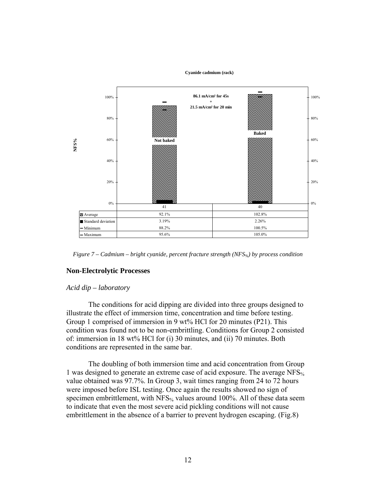

**Cyanide cadmium (rack)**

*Figure 7 – Cadmium – bright cyanide, percent fracture strength (NFS%) by process condition* 

### **Non-Electrolytic Processes**

### *Acid dip – laboratory*

The conditions for acid dipping are divided into three groups designed to illustrate the effect of immersion time, concentration and time before testing. Group 1 comprised of immersion in 9 wt% HCl for 20 minutes (P21). This condition was found not to be non-embrittling. Conditions for Group 2 consisted of: immersion in 18 wt% HCl for (i) 30 minutes, and (ii) 70 minutes. Both conditions are represented in the same bar.

The doubling of both immersion time and acid concentration from Group 1 was designed to generate an extreme case of acid exposure. The average NFS% value obtained was 97.7%. In Group 3, wait times ranging from 24 to 72 hours were imposed before ISL testing. Once again the results showed no sign of specimen embrittlement, with  $NFS_{\%}$  values around 100%. All of these data seem to indicate that even the most severe acid pickling conditions will not cause embrittlement in the absence of a barrier to prevent hydrogen escaping. (Fig.8)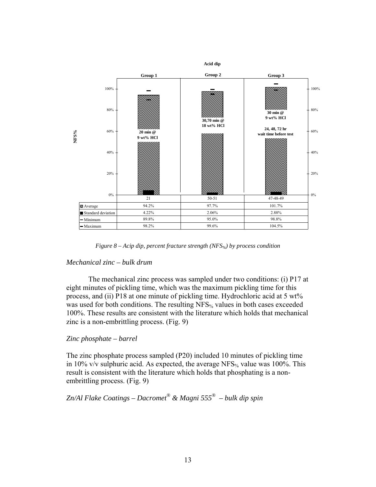

*Figure 8 – Acip dip, percent fracture strength (NFS%) by process condition* 

# *Mechanical zinc – bulk drum*

The mechanical zinc process was sampled under two conditions: (i) P17 at eight minutes of pickling time, which was the maximum pickling time for this process, and (ii) P18 at one minute of pickling time. Hydrochloric acid at 5 wt% was used for both conditions. The resulting  $NFS_{\%}$  values in both cases exceeded 100%. These results are consistent with the literature which holds that mechanical zinc is a non-embrittling process. (Fig. 9)

# *Zinc phosphate – barrel*

The zinc phosphate process sampled (P20) included 10 minutes of pickling time in 10% v/v sulphuric acid. As expected, the average NFS<sub>%</sub> value was 100%. This result is consistent with the literature which holds that phosphating is a nonembrittling process. (Fig. 9)

# *Zn/Al Flake Coatings – Dacromet® & Magni 555® – bulk dip spin*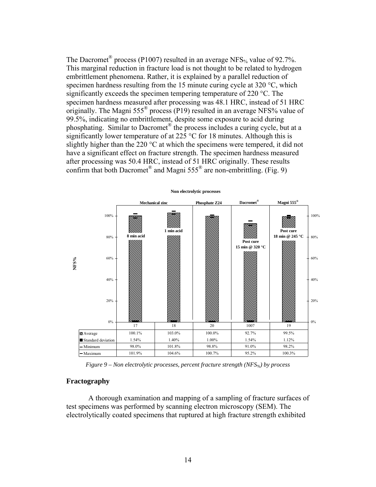The Dacromet<sup>®</sup> process (P1007) resulted in an average NFS<sub>%</sub> value of 92.7%. This marginal reduction in fracture load is not thought to be related to hydrogen embrittlement phenomena. Rather, it is explained by a parallel reduction of specimen hardness resulting from the 15 minute curing cycle at 320 °C, which significantly exceeds the specimen tempering temperature of 220 °C. The specimen hardness measured after processing was 48.1 HRC, instead of 51 HRC originally. The Magni 555® process (P19) resulted in an average NFS% value of 99.5%, indicating no embrittlement, despite some exposure to acid during phosphating. Similar to Dacromet<sup>®</sup> the process includes a curing cycle, but at a significantly lower temperature of at 225  $\degree$ C for 18 minutes. Although this is slightly higher than the 220  $\degree$ C at which the specimens were tempered, it did not have a significant effect on fracture strength. The specimen hardness measured after processing was 50.4 HRC, instead of 51 HRC originally. These results confirm that both Dacromet<sup>®</sup> and Magni  $555^\circ$  are non-embrittling. (Fig. 9)



*Figure 9 – Non electrolytic processes, percent fracture strength (NFS%) by process* 

### **Fractography**

A thorough examination and mapping of a sampling of fracture surfaces of test specimens was performed by scanning electron microscopy (SEM). The electrolytically coated specimens that ruptured at high fracture strength exhibited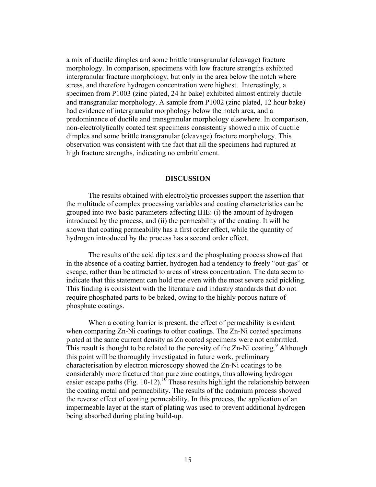a mix of ductile dimples and some brittle transgranular (cleavage) fracture morphology. In comparison, specimens with low fracture strengths exhibited intergranular fracture morphology, but only in the area below the notch where stress, and therefore hydrogen concentration were highest. Interestingly, a specimen from P1003 (zinc plated, 24 hr bake) exhibited almost entirely ductile and transgranular morphology. A sample from P1002 (zinc plated, 12 hour bake) had evidence of intergranular morphology below the notch area, and a predominance of ductile and transgranular morphology elsewhere. In comparison, non-electrolytically coated test specimens consistently showed a mix of ductile dimples and some brittle transgranular (cleavage) fracture morphology. This observation was consistent with the fact that all the specimens had ruptured at high fracture strengths, indicating no embrittlement.

### **DISCUSSION**

The results obtained with electrolytic processes support the assertion that the multitude of complex processing variables and coating characteristics can be grouped into two basic parameters affecting IHE: (i) the amount of hydrogen introduced by the process, and (ii) the permeability of the coating. It will be shown that coating permeability has a first order effect, while the quantity of hydrogen introduced by the process has a second order effect.

The results of the acid dip tests and the phosphating process showed that in the absence of a coating barrier, hydrogen had a tendency to freely "out-gas" or escape, rather than be attracted to areas of stress concentration. The data seem to indicate that this statement can hold true even with the most severe acid pickling. This finding is consistent with the literature and industry standards that do not require phosphated parts to be baked, owing to the highly porous nature of phosphate coatings.

When a coating barrier is present, the effect of permeability is evident when comparing Zn-Ni coatings to other coatings. The Zn-Ni coated specimens plated at the same current density as Zn coated specimens were not embrittled. This result is thought to be related to the porosity of the Zn-Ni coating.<sup>9</sup> Although this point will be thoroughly investigated in future work, preliminary characterisation by electron microscopy showed the Zn-Ni coatings to be considerably more fractured than pure zinc coatings, thus allowing hydrogen easier escape paths (Fig. 10-12).<sup>10</sup> These results highlight the relationship between the coating metal and permeability. The results of the cadmium process showed the reverse effect of coating permeability. In this process, the application of an impermeable layer at the start of plating was used to prevent additional hydrogen being absorbed during plating build-up.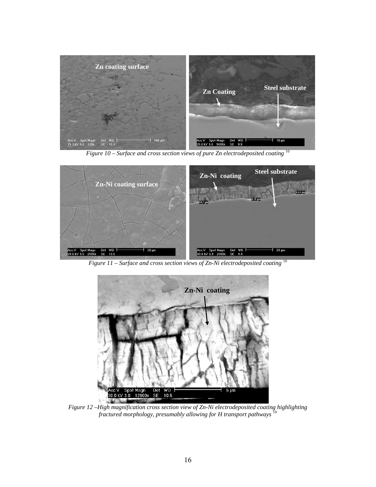





*Figure 12 –High magnification cross section view of Zn-Ni electrodeposited coating highlighting fractured morphology, presumably allowing for H transport pathways* <sup>10</sup>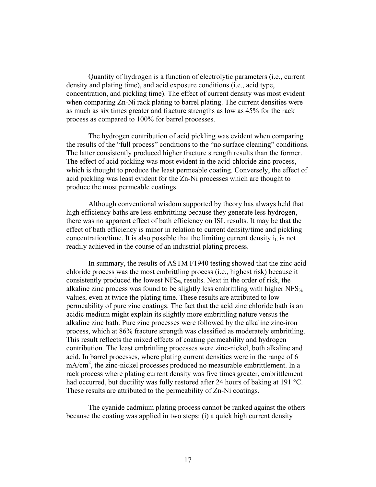Quantity of hydrogen is a function of electrolytic parameters (i.e., current density and plating time), and acid exposure conditions (i.e., acid type, concentration, and pickling time). The effect of current density was most evident when comparing Zn-Ni rack plating to barrel plating. The current densities were as much as six times greater and fracture strengths as low as 45% for the rack process as compared to 100% for barrel processes.

The hydrogen contribution of acid pickling was evident when comparing the results of the "full process" conditions to the "no surface cleaning" conditions. The latter consistently produced higher fracture strength results than the former. The effect of acid pickling was most evident in the acid-chloride zinc process, which is thought to produce the least permeable coating. Conversely, the effect of acid pickling was least evident for the Zn-Ni processes which are thought to produce the most permeable coatings.

Although conventional wisdom supported by theory has always held that high efficiency baths are less embrittling because they generate less hydrogen, there was no apparent effect of bath efficiency on ISL results. It may be that the effect of bath efficiency is minor in relation to current density/time and pickling concentration/time. It is also possible that the limiting current density  $i<sub>L</sub>$  is not readily achieved in the course of an industrial plating process.

In summary, the results of ASTM F1940 testing showed that the zinc acid chloride process was the most embrittling process (i.e., highest risk) because it consistently produced the lowest  $NFS_{\%}$  results. Next in the order of risk, the alkaline zinc process was found to be slightly less embrittling with higher NFS% values, even at twice the plating time. These results are attributed to low permeability of pure zinc coatings. The fact that the acid zinc chloride bath is an acidic medium might explain its slightly more embrittling nature versus the alkaline zinc bath. Pure zinc processes were followed by the alkaline zinc-iron process, which at 86% fracture strength was classified as moderately embrittling. This result reflects the mixed effects of coating permeability and hydrogen contribution. The least embrittling processes were zinc-nickel, both alkaline and acid. In barrel processes, where plating current densities were in the range of 6 mA/cm<sup>2</sup>, the zinc-nickel processes produced no measurable embrittlement. In a rack process where plating current density was five times greater, embrittlement had occurred, but ductility was fully restored after 24 hours of baking at 191 °C. These results are attributed to the permeability of Zn-Ni coatings.

The cyanide cadmium plating process cannot be ranked against the others because the coating was applied in two steps: (i) a quick high current density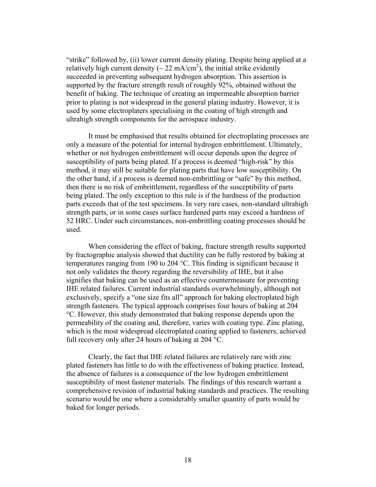"strike" followed by, (ii) lower current density plating. Despite being applied at a relatively high current density ( $\sim 22 \text{ mA/cm}^2$ ), the initial strike evidently succeeded in preventing subsequent hydrogen absorption. This assertion is supported by the fracture strength result of roughly 92%, obtained without the benefit of baking. The technique of creating an impermeable absorption barrier prior to plating is not widespread in the general plating industry. However, it is used by some electroplaters specialising in the coating of high strength and ultrahigh strength components for the aerospace industry.

It must be emphasised that results obtained for electroplating processes are only a measure of the potential for internal hydrogen embrittlement. Ultimately, whether or not hydrogen embrittlement will occur depends upon the degree of susceptibility of parts being plated. If a process is deemed "high-risk" by this method, it may still be suitable for plating parts that have low susceptibility. On the other hand, if a process is deemed non-embrittling or "safe" by this method, then there is no risk of embrittlement, regardless of the susceptibility of parts being plated. The only exception to this rule is if the hardness of the production parts exceeds that of the test specimens. In very rare cases, non-standard ultrahigh strength parts, or in some cases surface hardened parts may exceed a hardness of 52 HRC. Under such circumstances, non-embrittling coating processes should be used.

When considering the effect of baking, fracture strength results supported by fractographic analysis showed that ductility can be fully restored by baking at temperatures ranging from 190 to 204 °C. This finding is significant because it not only validates the theory regarding the reversibility of IHE, but it also signifies that baking can be used as an effective countermeasure for preventing IHE related failures. Current industrial standards overwhelmingly, although not exclusively, specify a "one size fits all" approach for baking electroplated high strength fasteners. The typical approach comprises four hours of baking at 204 °C. However, this study demonstrated that baking response depends upon the permeability of the coating and, therefore, varies with coating type. Zinc plating, which is the most widespread electroplated coating applied to fasteners, achieved full recovery only after 24 hours of baking at 204 °C.

Clearly, the fact that IHE related failures are relatively rare with zinc plated fasteners has little to do with the effectiveness of baking practice. Instead, the absence of failures is a consequence of the low hydrogen embrittlement susceptibility of most fastener materials. The findings of this research warrant a comprehensive revision of industrial baking standards and practices. The resulting scenario would be one where a considerably smaller quantity of parts would be baked for longer periods.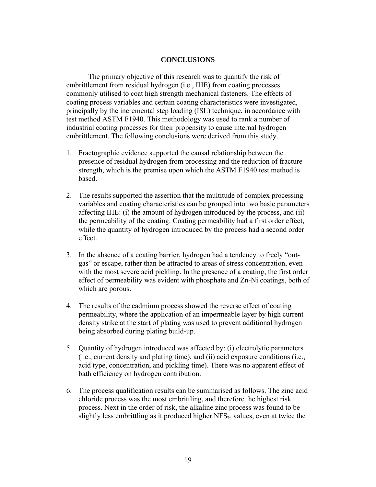# **CONCLUSIONS**

The primary objective of this research was to quantify the risk of embrittlement from residual hydrogen (i.e., IHE) from coating processes commonly utilised to coat high strength mechanical fasteners. The effects of coating process variables and certain coating characteristics were investigated, principally by the incremental step loading (ISL) technique, in accordance with test method ASTM F1940. This methodology was used to rank a number of industrial coating processes for their propensity to cause internal hydrogen embrittlement. The following conclusions were derived from this study.

- 1. Fractographic evidence supported the causal relationship between the presence of residual hydrogen from processing and the reduction of fracture strength, which is the premise upon which the ASTM F1940 test method is based.
- 2. The results supported the assertion that the multitude of complex processing variables and coating characteristics can be grouped into two basic parameters affecting IHE: (i) the amount of hydrogen introduced by the process, and (ii) the permeability of the coating. Coating permeability had a first order effect, while the quantity of hydrogen introduced by the process had a second order effect.
- 3. In the absence of a coating barrier, hydrogen had a tendency to freely "outgas" or escape, rather than be attracted to areas of stress concentration, even with the most severe acid pickling. In the presence of a coating, the first order effect of permeability was evident with phosphate and Zn-Ni coatings, both of which are porous.
- 4. The results of the cadmium process showed the reverse effect of coating permeability, where the application of an impermeable layer by high current density strike at the start of plating was used to prevent additional hydrogen being absorbed during plating build-up.
- 5. Quantity of hydrogen introduced was affected by: (i) electrolytic parameters (i.e., current density and plating time), and (ii) acid exposure conditions (i.e., acid type, concentration, and pickling time). There was no apparent effect of bath efficiency on hydrogen contribution.
- 6. The process qualification results can be summarised as follows. The zinc acid chloride process was the most embrittling, and therefore the highest risk process. Next in the order of risk, the alkaline zinc process was found to be slightly less embrittling as it produced higher NFS<sub>%</sub> values, even at twice the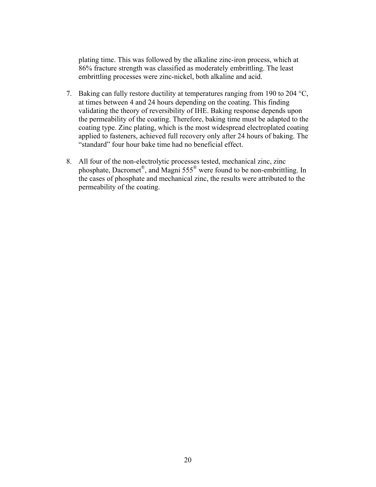plating time. This was followed by the alkaline zinc-iron process, which at 86% fracture strength was classified as moderately embrittling. The least embrittling processes were zinc-nickel, both alkaline and acid.

- 7. Baking can fully restore ductility at temperatures ranging from 190 to 204 °C, at times between 4 and 24 hours depending on the coating. This finding validating the theory of reversibility of IHE. Baking response depends upon the permeability of the coating. Therefore, baking time must be adapted to the coating type. Zinc plating, which is the most widespread electroplated coating applied to fasteners, achieved full recovery only after 24 hours of baking. The "standard" four hour bake time had no beneficial effect.
- 8. All four of the non-electrolytic processes tested, mechanical zinc, zinc phosphate, Dacromet®, and Magni 555® were found to be non-embrittling. In the cases of phosphate and mechanical zinc, the results were attributed to the permeability of the coating.